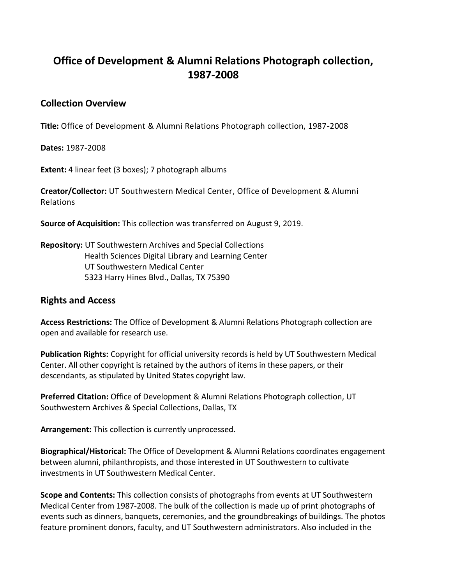## **Office of Development & Alumni Relations Photograph collection, 1987-2008**

## **Collection Overview**

**Title:** Office of Development & Alumni Relations Photograph collection, 1987-2008

**Dates:** 1987-2008

**Extent:** 4 linear feet (3 boxes); 7 photograph albums

**Creator/Collector:** UT Southwestern Medical Center, Office of Development & Alumni Relations

**Source of Acquisition:** This collection was transferred on August 9, 2019.

**Repository:** UT Southwestern Archives and Special Collections Health Sciences Digital Library and Learning Center UT Southwestern Medical Center 5323 Harry Hines Blvd., Dallas, TX 75390

## **Rights and Access**

**Access Restrictions:** The Office of Development & Alumni Relations Photograph collection are open and available for research use.

**Publication Rights:** Copyright for official university records is held by UT Southwestern Medical Center. All other copyright is retained by the authors of items in these papers, or their descendants, as stipulated by United States copyright law.

**Preferred Citation:** Office of Development & Alumni Relations Photograph collection, UT Southwestern Archives & Special Collections, Dallas, TX

**Arrangement:** This collection is currently unprocessed.

**Biographical/Historical:** The Office of Development & Alumni Relations coordinates engagement between alumni, philanthropists, and those interested in UT Southwestern to cultivate investments in UT Southwestern Medical Center.

**Scope and Contents:** This collection consists of photographs from events at UT Southwestern Medical Center from 1987-2008. The bulk of the collection is made up of print photographs of events such as dinners, banquets, ceremonies, and the groundbreakings of buildings. The photos feature prominent donors, faculty, and UT Southwestern administrators. Also included in the